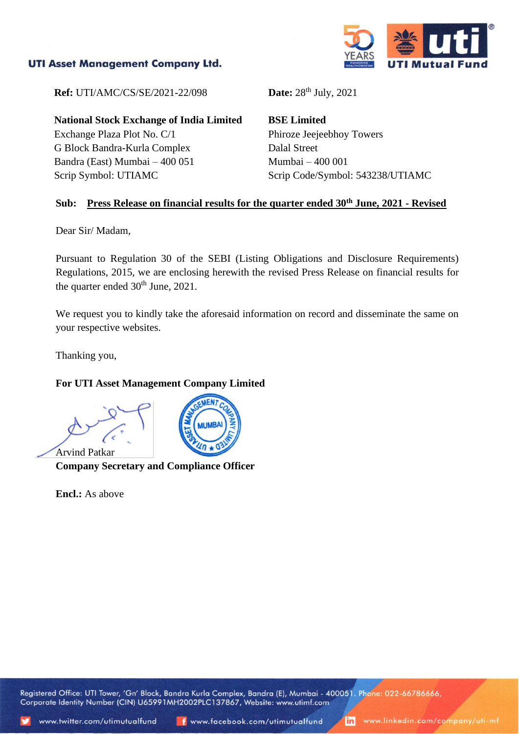## **UTI Asset Management Company Ltd.**



**Ref:** UTI/AMC/CS/SE/2021-22/098 **Date:** 28<sup>th</sup> July, 2021

**National Stock Exchange of India Limited** Exchange Plaza Plot No. C/1 G Block Bandra-Kurla Complex Bandra (East) Mumbai – 400 051 Scrip Symbol: UTIAMC

**BSE Limited** Phiroze Jeejeebhoy Towers Dalal Street Mumbai – 400 001 Scrip Code/Symbol: 543238/UTIAMC

#### **Sub: Press Release on financial results for the quarter ended 30th June, 2021 - Revised**

Dear Sir/ Madam,

Pursuant to Regulation 30 of the SEBI (Listing Obligations and Disclosure Requirements) Regulations, 2015, we are enclosing herewith the revised Press Release on financial results for the quarter ended  $30<sup>th</sup>$  June, 2021.

We request you to kindly take the aforesaid information on record and disseminate the same on your respective websites.

Thanking you,

### **For UTI Asset Management Company Limited**

Arvind Patkar



**Company Secretary and Compliance Officer**

**Encl.:** As above

Registered Office: UTI Tower, 'Gn' Block, Bandra Kurla Complex, Bandra (E), Mumbai - 400051. Phone: 022-66786666, Corporate Identity Number (CIN) U65991MH2002PLC137867, Website: www.utimf.com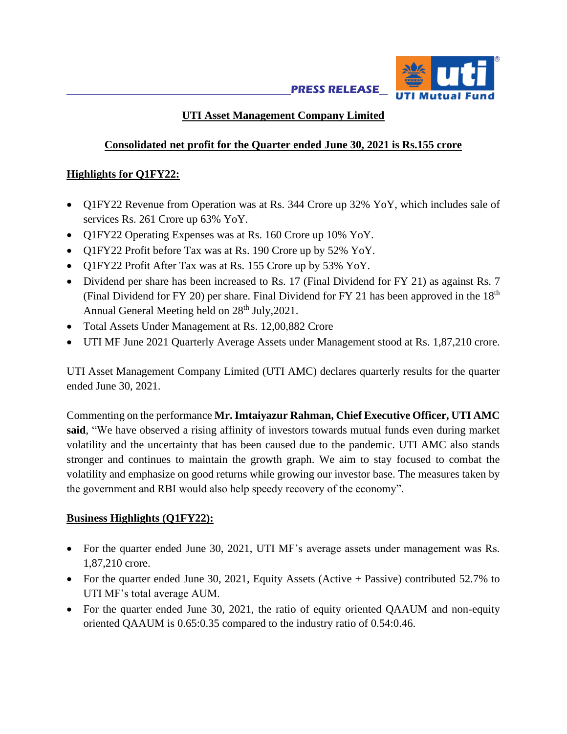

# **UTI Asset Management Company Limited**

## **Consolidated net profit for the Quarter ended June 30, 2021 is Rs.155 crore**

## **Highlights for Q1FY22:**

- Q1FY22 Revenue from Operation was at Rs. 344 Crore up 32% YoY, which includes sale of services Rs. 261 Crore up 63% YoY.
- O1FY22 Operating Expenses was at Rs. 160 Crore up 10% YoY.
- Q1FY22 Profit before Tax was at Rs. 190 Crore up by 52% YoY.
- Q1FY22 Profit After Tax was at Rs. 155 Crore up by 53% YoY.
- Dividend per share has been increased to Rs. 17 (Final Dividend for FY 21) as against Rs. 7 (Final Dividend for FY 20) per share. Final Dividend for FY 21 has been approved in the  $18<sup>th</sup>$ Annual General Meeting held on 28<sup>th</sup> July, 2021.
- Total Assets Under Management at Rs. 12,00,882 Crore
- UTI MF June 2021 Quarterly Average Assets under Management stood at Rs. 1,87,210 crore.

UTI Asset Management Company Limited (UTI AMC) declares quarterly results for the quarter ended June 30, 2021.

Commenting on the performance **Mr. Imtaiyazur Rahman, Chief Executive Officer, UTI AMC said**, "We have observed a rising affinity of investors towards mutual funds even during market volatility and the uncertainty that has been caused due to the pandemic. UTI AMC also stands stronger and continues to maintain the growth graph. We aim to stay focused to combat the volatility and emphasize on good returns while growing our investor base. The measures taken by the government and RBI would also help speedy recovery of the economy".

## **Business Highlights (Q1FY22):**

- For the quarter ended June 30, 2021, UTI MF's average assets under management was Rs. 1,87,210 crore.
- For the quarter ended June 30, 2021, Equity Assets (Active + Passive) contributed 52.7% to UTI MF's total average AUM.
- For the quarter ended June 30, 2021, the ratio of equity oriented OAAUM and non-equity oriented QAAUM is 0.65:0.35 compared to the industry ratio of 0.54:0.46.